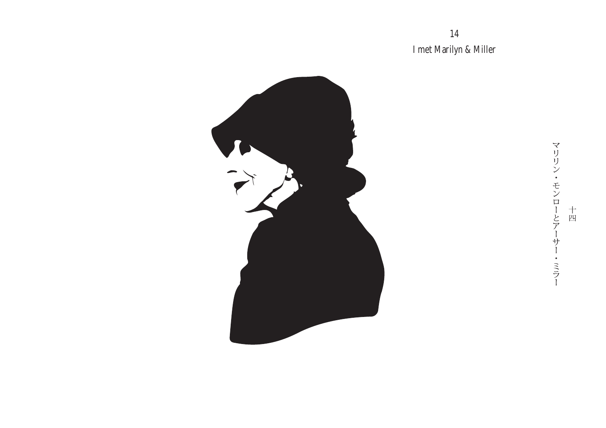14 I met Marilyn & Miller



マリリン・モンローとアーサー・ミラー 十四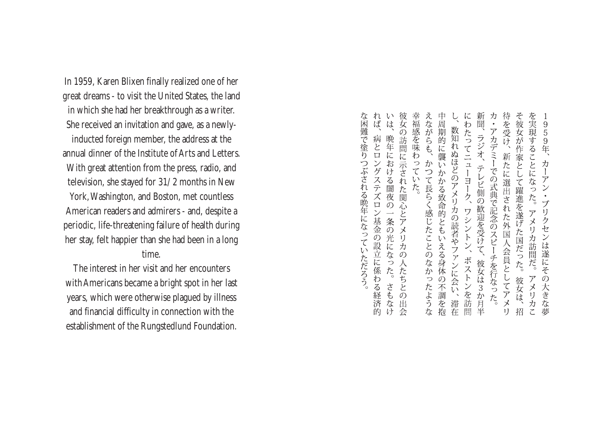In 1959, Karen Blixen finally realized one of her great dreams - to visit the United States, the land in which she had her breakthrough as a writer. She received an invitation and gave, as a newlyinducted foreign member, the address at the annual dinner of the Institute of Arts and Letters. With great attention from the press, radio, and television, she stayed for 31/2 months in New York, Washington, and Boston, met countless American readers and admirers - and, despite a periodic, life-threatening failure of health during her stay, felt happier than she had been in a long time.

The interest in her visit and her encounters withAmericans became a bright spot in her last years, which were otherwise plagued by illness and financial difficulty in connection with the establishment of the Rungstedlund Foundation.

新聞、 カ・アカデミーでの式典で記念のスピーチを行なった。 待を受け、新たに選出された外国人会員としてアメリ そ彼女が作家として躍進を遂げた国だった。 を実現することになった。 にわたってニューヨーク、 959年、 数知れぬほどのアメリカの読者やファンに会い、滞在 、ラジオ、 カーア テレビ側の歓迎を受けて、  $\frac{1}{2}$  $\bullet$ ブリ ワシントン、ボストンを訪問 アメリカ訪問だ。 クセ ンは遂にその大きな 彼女は3か月半 彼女は、招 アメリカこ 夢

れいは、

病とロ

ングステズロン基金の設立に係わる経済

な困難で塗りつぶされる晩年になっていただろう。

彼女の訪問に示された関心とアメリカ

 $\overline{O}$ 

人たちとの

3出会

さもなけ

晩年における闇夜の一条の光になった。

幸福感を味わっていた。

えながらも、かつて長らく感じたことのなかったような 中周期的に襲いかかる致命的ともいえる身体の不調を抱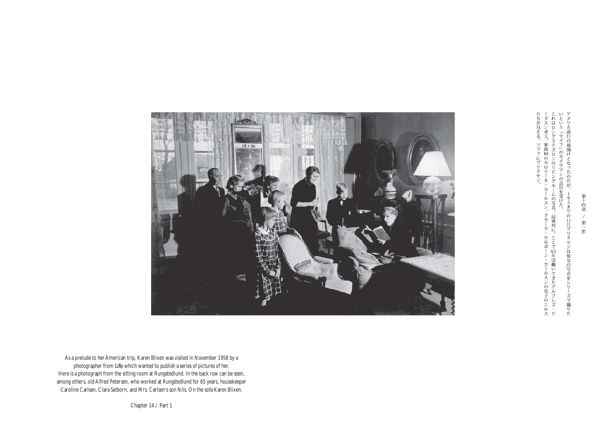り<br>ナ の幕開けとなったのだが、  $\overline{1}$ 958年の11月ブリクセンは彼女の写真をシリーズで撮りた

たちが見える。ソファにブリクセン。――ダスン老人、家政婦のカロリーネ・カールスンこれはロングステズロンのリビングルームの写真いという「ライフ」のカメラマンの訪問を受けた。 -ムの写真。最後列に、 ルスン、クラーラ・セルボーン・カールスンの息子のニルスの写真。最後列に、ここで65年間働いてきたアルフレズ・ピ



As a prelude to her American trip, Karen Blixen was visited in November 1958 by a photographer from *Life*, which wanted to publish a series of pictures of her. Here is a photograph from the sitting room at Rungstedlund. In the back row can be seen, among others, oldAlfred Petersen, who worked at Rungstedlund for 65 years, housekeeper Caroline Carlsen, Clara Selborn, and Mrs. Carlsen's son Nils. On the sofa Karen Blixen.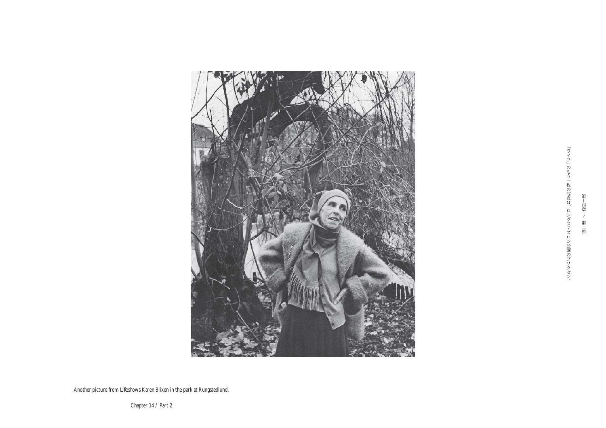

第十四章 / 第二節

Another picture from *Life* shows Karen Blixen in the park at Rungstedlund.

Chapter 14 / Part 2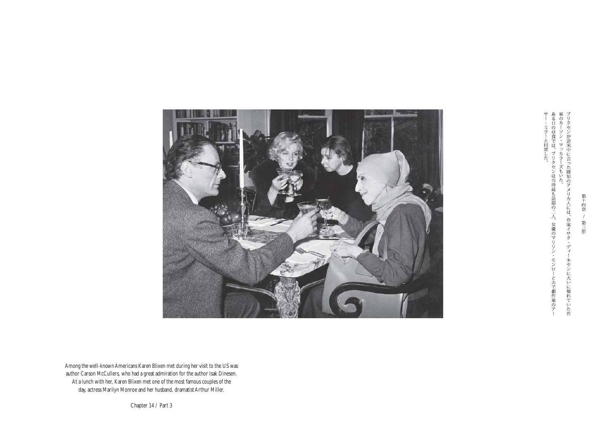サー・ミラーと同席した。<br>ある日の昼食では、ブリクセンは当時最も話題の二人、女優のマリリン家のカーソン・マッカラーズもいた。 Ý, モンローと夫で劇作家のアー ネセンに大いに憧れていた作



Among the well-knownAmericans Karen Blixen met during her visit to the US was author Carson McCullers, who had a great admiration for the author Isak Dinesen. At a lunch with her, Karen Blixen met one of the most famous couples of the day, actress Marilyn Monroe and her husband, dramatist Arthur Miller.